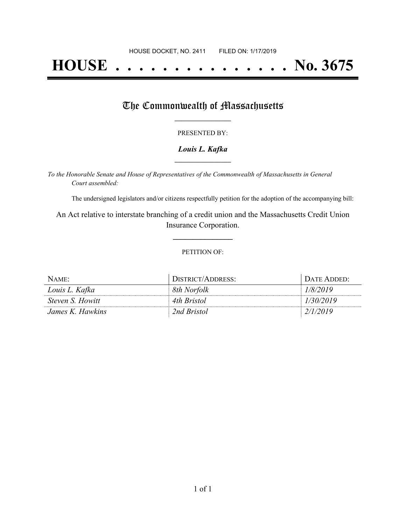# **HOUSE . . . . . . . . . . . . . . . No. 3675**

## The Commonwealth of Massachusetts

#### PRESENTED BY:

#### *Louis L. Kafka* **\_\_\_\_\_\_\_\_\_\_\_\_\_\_\_\_\_**

*To the Honorable Senate and House of Representatives of the Commonwealth of Massachusetts in General Court assembled:*

The undersigned legislators and/or citizens respectfully petition for the adoption of the accompanying bill:

An Act relative to interstate branching of a credit union and the Massachusetts Credit Union Insurance Corporation.

**\_\_\_\_\_\_\_\_\_\_\_\_\_\_\_**

#### PETITION OF:

| NAME:            | DISTRICT/ADDRESS: | DATE ADDED: |
|------------------|-------------------|-------------|
| Louis L. Kafka   | 8th Norfolk       | 1/8/2019    |
| Steven S. Howitt | 4th Bristol       | 1/30/2019   |
| James K. Hawkins | 2nd Bristol       | 2/1/2019    |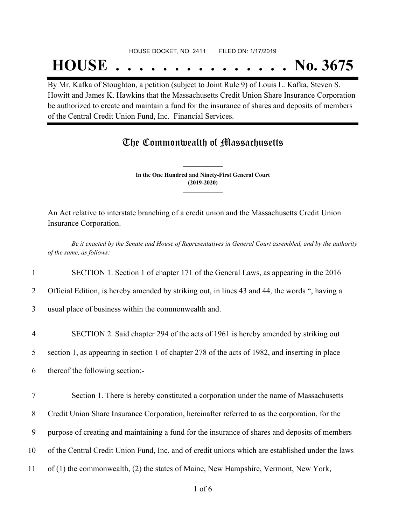#### HOUSE DOCKET, NO. 2411 FILED ON: 1/17/2019

## **HOUSE . . . . . . . . . . . . . . . No. 3675**

By Mr. Kafka of Stoughton, a petition (subject to Joint Rule 9) of Louis L. Kafka, Steven S. Howitt and James K. Hawkins that the Massachusetts Credit Union Share Insurance Corporation be authorized to create and maintain a fund for the insurance of shares and deposits of members of the Central Credit Union Fund, Inc. Financial Services.

### The Commonwealth of Massachusetts

**In the One Hundred and Ninety-First General Court (2019-2020) \_\_\_\_\_\_\_\_\_\_\_\_\_\_\_**

**\_\_\_\_\_\_\_\_\_\_\_\_\_\_\_**

An Act relative to interstate branching of a credit union and the Massachusetts Credit Union Insurance Corporation.

Be it enacted by the Senate and House of Representatives in General Court assembled, and by the authority *of the same, as follows:*

1 SECTION 1. Section 1 of chapter 171 of the General Laws, as appearing in the 2016

2 Official Edition, is hereby amended by striking out, in lines 43 and 44, the words ", having a

3 usual place of business within the commonwealth and.

4 SECTION 2. Said chapter 294 of the acts of 1961 is hereby amended by striking out

5 section 1, as appearing in section 1 of chapter 278 of the acts of 1982, and inserting in place

6 thereof the following section:-

 Section 1. There is hereby constituted a corporation under the name of Massachusetts Credit Union Share Insurance Corporation, hereinafter referred to as the corporation, for the purpose of creating and maintaining a fund for the insurance of shares and deposits of members of the Central Credit Union Fund, Inc. and of credit unions which are established under the laws of (1) the commonwealth, (2) the states of Maine, New Hampshire, Vermont, New York,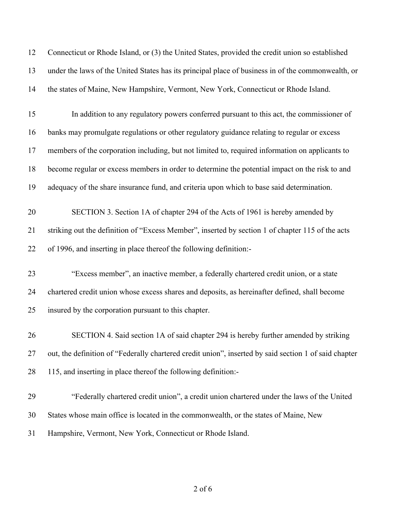| 12 | Connecticut or Rhode Island, or (3) the United States, provided the credit union so established       |
|----|-------------------------------------------------------------------------------------------------------|
| 13 | under the laws of the United States has its principal place of business in of the commonwealth, or    |
| 14 | the states of Maine, New Hampshire, Vermont, New York, Connecticut or Rhode Island.                   |
| 15 | In addition to any regulatory powers conferred pursuant to this act, the commissioner of              |
| 16 | banks may promulgate regulations or other regulatory guidance relating to regular or excess           |
| 17 | members of the corporation including, but not limited to, required information on applicants to       |
| 18 | become regular or excess members in order to determine the potential impact on the risk to and        |
| 19 | adequacy of the share insurance fund, and criteria upon which to base said determination.             |
| 20 | SECTION 3. Section 1A of chapter 294 of the Acts of 1961 is hereby amended by                         |
| 21 | striking out the definition of "Excess Member", inserted by section 1 of chapter 115 of the acts      |
| 22 | of 1996, and inserting in place thereof the following definition:-                                    |
| 23 | "Excess member", an inactive member, a federally chartered credit union, or a state                   |
| 24 | chartered credit union whose excess shares and deposits, as hereinafter defined, shall become         |
| 25 | insured by the corporation pursuant to this chapter.                                                  |
| 26 | SECTION 4. Said section 1A of said chapter 294 is hereby further amended by striking                  |
| 27 | out, the definition of "Federally chartered credit union", inserted by said section 1 of said chapter |
| 28 | 115, and inserting in place thereof the following definition:-                                        |
| 29 | "Federally chartered credit union", a credit union chartered under the laws of the United             |
| 30 | States whose main office is located in the commonwealth, or the states of Maine, New                  |
| 31 | Hampshire, Vermont, New York, Connecticut or Rhode Island.                                            |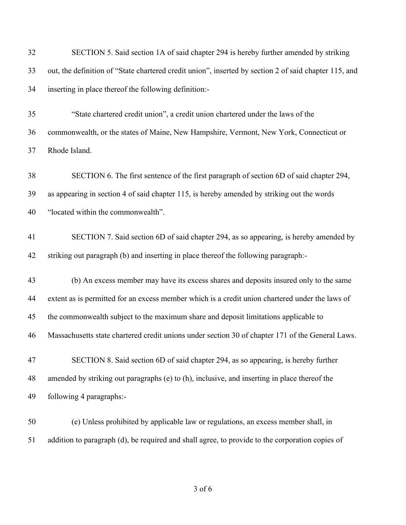| 32 | SECTION 5. Said section 1A of said chapter 294 is hereby further amended by striking                  |
|----|-------------------------------------------------------------------------------------------------------|
| 33 | out, the definition of "State chartered credit union", inserted by section 2 of said chapter 115, and |
| 34 | inserting in place thereof the following definition:-                                                 |
| 35 | "State chartered credit union", a credit union chartered under the laws of the                        |
| 36 | commonwealth, or the states of Maine, New Hampshire, Vermont, New York, Connecticut or                |
| 37 | Rhode Island.                                                                                         |
| 38 | SECTION 6. The first sentence of the first paragraph of section 6D of said chapter 294,               |
| 39 | as appearing in section 4 of said chapter 115, is hereby amended by striking out the words            |
| 40 | "located within the commonwealth".                                                                    |
| 41 | SECTION 7. Said section 6D of said chapter 294, as so appearing, is hereby amended by                 |
| 42 | striking out paragraph (b) and inserting in place thereof the following paragraph:-                   |
| 43 | (b) An excess member may have its excess shares and deposits insured only to the same                 |
| 44 | extent as is permitted for an excess member which is a credit union chartered under the laws of       |
| 45 | the commonwealth subject to the maximum share and deposit limitations applicable to                   |
| 46 | Massachusetts state chartered credit unions under section 30 of chapter 171 of the General Laws.      |
| 47 | SECTION 8. Said section 6D of said chapter 294, as so appearing, is hereby further                    |
| 48 | amended by striking out paragraphs (e) to (h), inclusive, and inserting in place thereof the          |
| 49 | following 4 paragraphs:-                                                                              |
| 50 | (e) Unless prohibited by applicable law or regulations, an excess member shall, in                    |
| 51 | addition to paragraph (d), be required and shall agree, to provide to the corporation copies of       |
|    |                                                                                                       |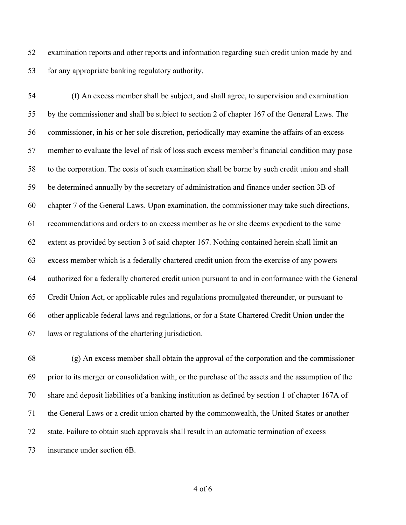examination reports and other reports and information regarding such credit union made by and for any appropriate banking regulatory authority.

 (f) An excess member shall be subject, and shall agree, to supervision and examination by the commissioner and shall be subject to section 2 of chapter 167 of the General Laws. The commissioner, in his or her sole discretion, periodically may examine the affairs of an excess member to evaluate the level of risk of loss such excess member's financial condition may pose to the corporation. The costs of such examination shall be borne by such credit union and shall be determined annually by the secretary of administration and finance under section 3B of chapter 7 of the General Laws. Upon examination, the commissioner may take such directions, recommendations and orders to an excess member as he or she deems expedient to the same extent as provided by section 3 of said chapter 167. Nothing contained herein shall limit an excess member which is a federally chartered credit union from the exercise of any powers authorized for a federally chartered credit union pursuant to and in conformance with the General Credit Union Act, or applicable rules and regulations promulgated thereunder, or pursuant to other applicable federal laws and regulations, or for a State Chartered Credit Union under the laws or regulations of the chartering jurisdiction.

 (g) An excess member shall obtain the approval of the corporation and the commissioner prior to its merger or consolidation with, or the purchase of the assets and the assumption of the share and deposit liabilities of a banking institution as defined by section 1 of chapter 167A of the General Laws or a credit union charted by the commonwealth, the United States or another state. Failure to obtain such approvals shall result in an automatic termination of excess insurance under section 6B.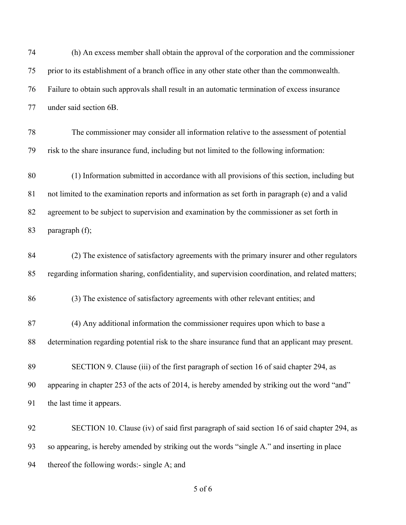| 74 | (h) An excess member shall obtain the approval of the corporation and the commissioner             |
|----|----------------------------------------------------------------------------------------------------|
| 75 | prior to its establishment of a branch office in any other state other than the commonwealth.      |
| 76 | Failure to obtain such approvals shall result in an automatic termination of excess insurance      |
| 77 | under said section 6B.                                                                             |
| 78 | The commissioner may consider all information relative to the assessment of potential              |
| 79 | risk to the share insurance fund, including but not limited to the following information:          |
| 80 | (1) Information submitted in accordance with all provisions of this section, including but         |
| 81 | not limited to the examination reports and information as set forth in paragraph (e) and a valid   |
| 82 | agreement to be subject to supervision and examination by the commissioner as set forth in         |
| 83 | paragraph (f);                                                                                     |
| 84 | (2) The existence of satisfactory agreements with the primary insurer and other regulators         |
| 85 | regarding information sharing, confidentiality, and supervision coordination, and related matters; |
| 86 | (3) The existence of satisfactory agreements with other relevant entities; and                     |
| 87 | (4) Any additional information the commissioner requires upon which to base a                      |
| 88 | determination regarding potential risk to the share insurance fund that an applicant may present.  |
| 89 | SECTION 9. Clause (iii) of the first paragraph of section 16 of said chapter 294, as               |
| 90 | appearing in chapter 253 of the acts of 2014, is hereby amended by striking out the word "and"     |
| 91 | the last time it appears.                                                                          |
| 92 | SECTION 10. Clause (iv) of said first paragraph of said section 16 of said chapter 294, as         |

 so appearing, is hereby amended by striking out the words "single A." and inserting in place thereof the following words:- single A; and